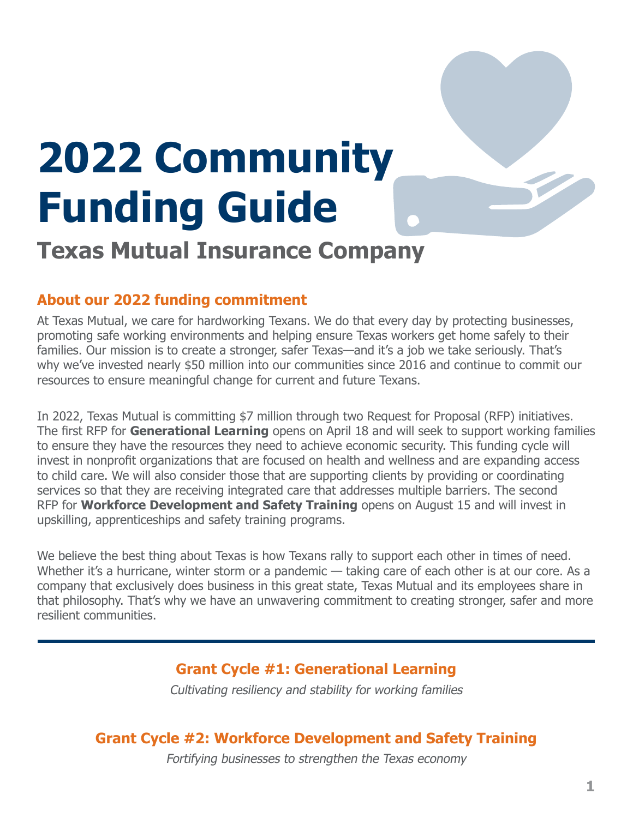# **2022 Community Funding Guide Texas Mutual Insurance Company**

# **About our 2022 funding commitment**

At Texas Mutual, we care for hardworking Texans. We do that every day by protecting businesses, promoting safe working environments and helping ensure Texas workers get home safely to their families. Our mission is to create a stronger, safer Texas—and it's a job we take seriously. That's why we've invested nearly \$50 million into our communities since 2016 and continue to commit our resources to ensure meaningful change for current and future Texans.

In 2022, Texas Mutual is committing \$7 million through two Request for Proposal (RFP) initiatives. The first RFP for **Generational Learning** opens on April 18 and will seek to support working families to ensure they have the resources they need to achieve economic security. This funding cycle will invest in nonprofit organizations that are focused on health and wellness and are expanding access to child care. We will also consider those that are supporting clients by providing or coordinating services so that they are receiving integrated care that addresses multiple barriers. The second RFP for **Workforce Development and Safety Training** opens on August 15 and will invest in upskilling, apprenticeships and safety training programs.

We believe the best thing about Texas is how Texans rally to support each other in times of need. Whether it's a hurricane, winter storm or a pandemic — taking care of each other is at our core. As a company that exclusively does business in this great state, Texas Mutual and its employees share in that philosophy. That's why we have an unwavering commitment to creating stronger, safer and more resilient communities.

## **[Grant Cycle #1: Generational Learning](#page-1-0)**

Cultivating resiliency and stability for working families

# **[Grant Cycle #2: Workforce Development and Safety Training](#page-1-1)**

Fortifying businesses to strengthen the Texas economy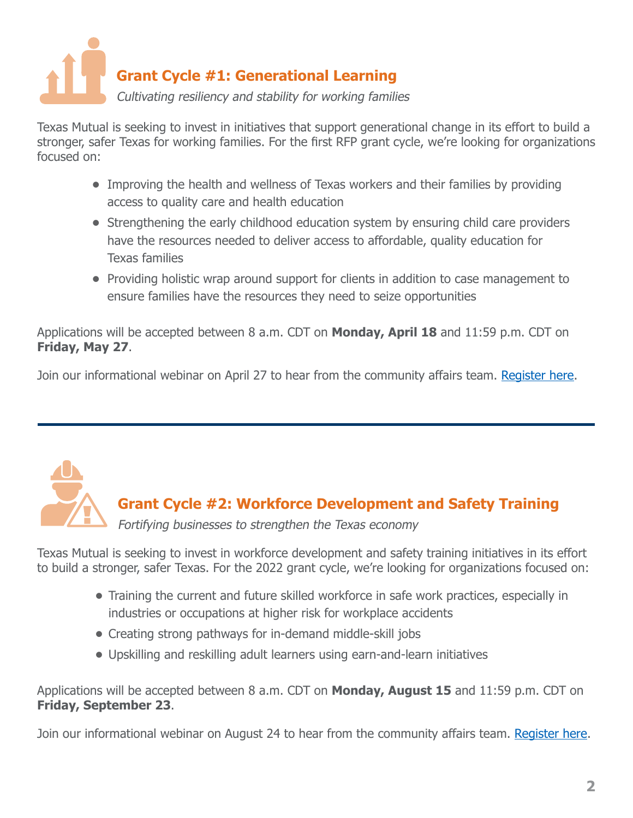<span id="page-1-0"></span>

Texas Mutual is seeking to invest in initiatives that support generational change in its effort to build a stronger, safer Texas for working families. For the first RFP grant cycle, we're looking for organizations focused on:

- Improving the health and wellness of Texas workers and their families by providing access to quality care and health education
- Strengthening the early childhood education system by ensuring child care providers have the resources needed to deliver access to affordable, quality education for Texas families
- Providing holistic wrap around support for clients in addition to case management to ensure families have the resources they need to seize opportunities

Applications will be accepted between 8 a.m. CDT on **Monday, April 18** and 11:59 p.m. CDT on **Friday, May 27**.

Join our informational webinar on April 27 to hear from the community affairs team. [Register here](https://attendee.gotowebinar.com/register/494719082039736845).

# <span id="page-1-1"></span>Fortifying businesses to strengthen the Texas economy **Grant Cycle #2: Workforce Development and Safety Training**

Texas Mutual is seeking to invest in workforce development and safety training initiatives in its effort to build a stronger, safer Texas. For the 2022 grant cycle, we're looking for organizations focused on:

- Training the current and future skilled workforce in safe work practices, especially in industries or occupations at higher risk for workplace accidents
- Creating strong pathways for in-demand middle-skill jobs
- Upskilling and reskilling adult learners using earn-and-learn initiatives

Applications will be accepted between 8 a.m. CDT on **Monday, August 15** and 11:59 p.m. CDT on **Friday, September 23**.

Join our informational webinar on August 24 to hear from the community affairs team. [Register here](https://attendee.gotowebinar.com/register/2774208996559017996).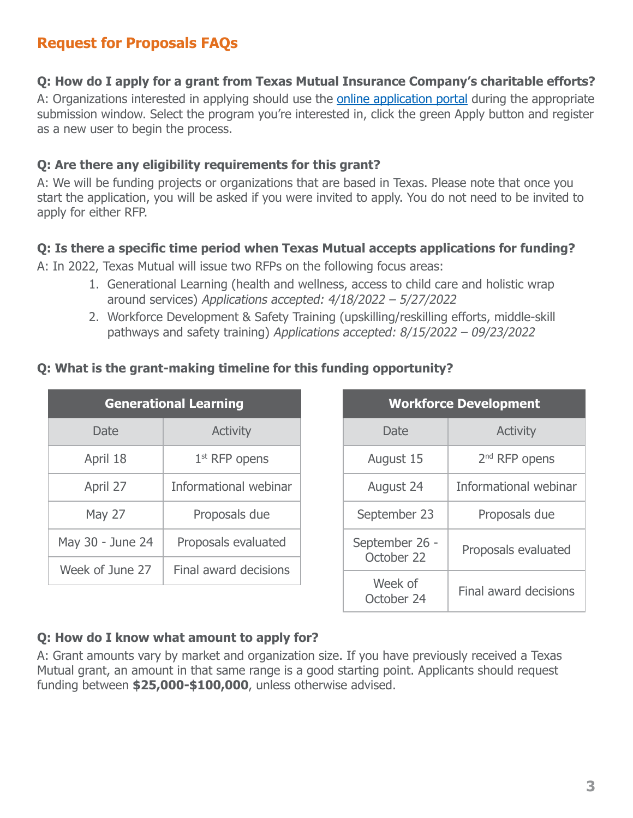### **Request for Proposals FAQs**

#### **Q: How do I apply for a grant from Texas Mutual Insurance Company's charitable efforts?**

A: Organizations interested in applying should use the [online application portal](https://txmcharitablegiving.smapply.io/) during the appropriate submission window. Select the program you're interested in, click the green Apply button and register as a new user to begin the process.

#### **Q: Are there any eligibility requirements for this grant?**

A: We will be funding projects or organizations that are based in Texas. Please note that once you start the application, you will be asked if you were invited to apply. You do not need to be invited to apply for either RFP.

#### **Q: Is there a specific time period when Texas Mutual accepts applications for funding?**

A: In 2022, Texas Mutual will issue two RFPs on the following focus areas:

- 1. Generational Learning (health and wellness, access to child care and holistic wrap around services) Applications accepted: 4/18/2022 – 5/27/2022
- 2. Workforce Development & Safety Training (upskilling/reskilling efforts, middle-skill pathways and safety training) Applications accepted: 8/15/2022 – 09/23/2022

#### **Q: What is the grant-making timeline for this funding opportunity?**

| <b>Generational Learning</b> |                       |  |
|------------------------------|-----------------------|--|
| Date                         | <b>Activity</b>       |  |
| April 18                     | $1st$ RFP opens       |  |
| April 27                     | Informational webinar |  |
| <b>May 27</b>                | Proposals due         |  |
| May 30 - June 24             | Proposals evaluated   |  |
| Week of June 27              | Final award decisions |  |

| <b>Workforce Development</b> |                       |
|------------------------------|-----------------------|
| Date                         | <b>Activity</b>       |
| August 15                    | $2nd$ RFP opens       |
| August 24                    | Informational webinar |
| September 23                 | Proposals due         |
| September 26 -<br>October 22 | Proposals evaluated   |
| Week of<br>October 24        | Final award decisions |

#### **Q: How do I know what amount to apply for?**

A: Grant amounts vary by market and organization size. If you have previously received a Texas Mutual grant, an amount in that same range is a good starting point. Applicants should request funding between **\$25,000-\$100,000**, unless otherwise advised.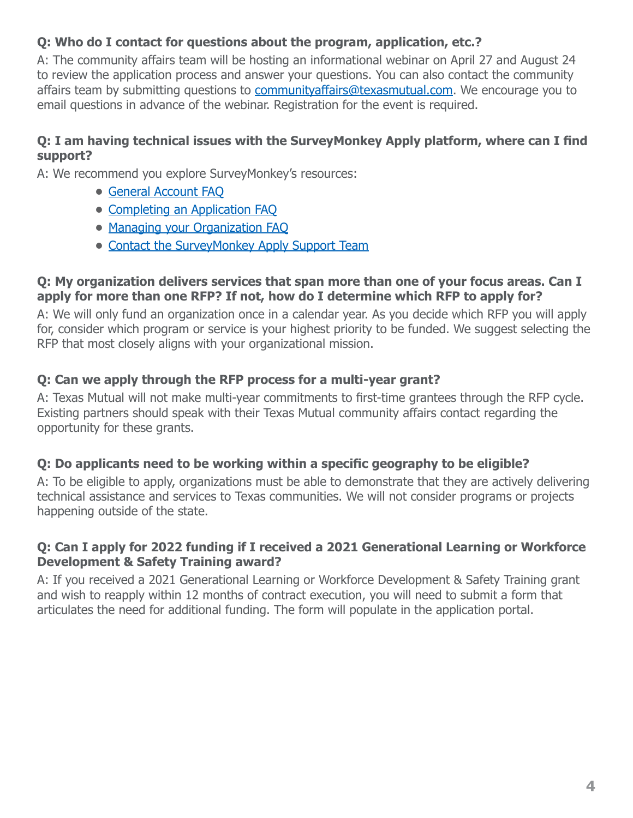#### **Q: Who do I contact for questions about the program, application, etc.?**

A: The community affairs team will be hosting an informational webinar on April 27 and August 24 to review the application process and answer your questions. You can also contact the community affairs team by submitting questions to [communityaffairs@texasmutual.com](mailto:communityaffairs%40texasmutual.com?subject=). We encourage you to email questions in advance of the webinar. Registration for the event is required.

#### **Q: I am having technical issues with the SurveyMonkey Apply platform, where can I find support?**

A: We recommend you explore SurveyMonkey's resources:

- [General Account FAQ](https://help.smapply.io/hc/en-us/articles/360032514674-General-Account-FAQ)
- [Completing an Application FAQ](https://help.smapply.io/hc/en-us/articles/115001445354-Completing-an-Application-FAQ)
- [Managing your Organization FAQ](https://help.smapply.io/hc/en-us/articles/360001910093-Managing-your-Organization-FAQ)
- [Contact the SurveyMonkey Apply Support Team](https://txmcharitablegiving.smapply.io/helpdesk/)

#### **Q: My organization delivers services that span more than one of your focus areas. Can I apply for more than one RFP? If not, how do I determine which RFP to apply for?**

A: We will only fund an organization once in a calendar year. As you decide which RFP you will apply for, consider which program or service is your highest priority to be funded. We suggest selecting the RFP that most closely aligns with your organizational mission.

#### **Q: Can we apply through the RFP process for a multi-year grant?**

A: Texas Mutual will not make multi-year commitments to first-time grantees through the RFP cycle. Existing partners should speak with their Texas Mutual community affairs contact regarding the opportunity for these grants.

#### **Q: Do applicants need to be working within a specific geography to be eligible?**

A: To be eligible to apply, organizations must be able to demonstrate that they are actively delivering technical assistance and services to Texas communities. We will not consider programs or projects happening outside of the state.

#### **Q: Can I apply for 2022 funding if I received a 2021 Generational Learning or Workforce Development & Safety Training award?**

A: If you received a 2021 Generational Learning or Workforce Development & Safety Training grant and wish to reapply within 12 months of contract execution, you will need to submit a form that articulates the need for additional funding. The form will populate in the application portal.